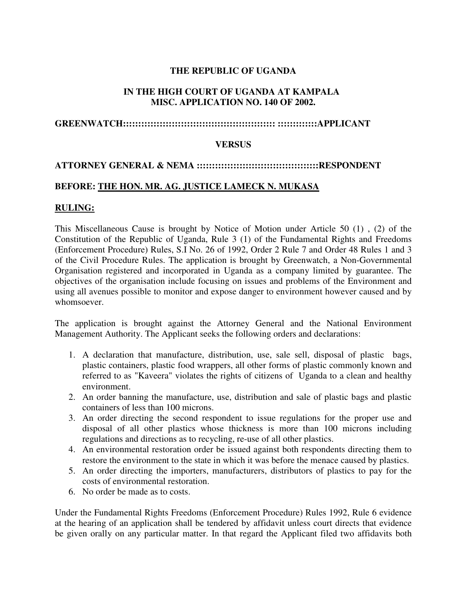# **THE REPUBLIC OF UGANDA**

# **IN THE HIGH COURT OF UGANDA AT KAMPALA MISC. APPLICATION NO. 140 OF 2002.**

### **GREENWATCH:::::::::::::::::::::::::::::::::::::::::::::::::: :::::::::::::APPLICANT**

#### **VERSUS**

### **ATTORNEY GENERAL & NEMA ::::::::::::::::::::::::::::::::::::::::RESPONDENT**

#### **BEFORE: THE HON. MR. AG. JUSTICE LAMECK N. MUKASA**

#### **RULING:**

This Miscellaneous Cause is brought by Notice of Motion under Article 50 (1) , (2) of the Constitution of the Republic of Uganda, Rule 3 (1) of the Fundamental Rights and Freedoms (Enforcement Procedure) Rules, S.I No. 26 of 1992, Order 2 Rule 7 and Order 48 Rules 1 and 3 of the Civil Procedure Rules. The application is brought by Greenwatch, a Non-Governmental Organisation registered and incorporated in Uganda as a company limited by guarantee. The objectives of the organisation include focusing on issues and problems of the Environment and using all avenues possible to monitor and expose danger to environment however caused and by whomsoever.

The application is brought against the Attorney General and the National Environment Management Authority. The Applicant seeks the following orders and declarations:

- 1. A declaration that manufacture, distribution, use, sale sell, disposal of plastic bags, plastic containers, plastic food wrappers, all other forms of plastic commonly known and referred to as "Kaveera" violates the rights of citizens of Uganda to a clean and healthy environment.
- 2. An order banning the manufacture, use, distribution and sale of plastic bags and plastic containers of less than 100 microns.
- 3. An order directing the second respondent to issue regulations for the proper use and disposal of all other plastics whose thickness is more than 100 microns including regulations and directions as to recycling, re-use of all other plastics.
- 4. An environmental restoration order be issued against both respondents directing them to restore the environment to the state in which it was before the menace caused by plastics.
- 5. An order directing the importers, manufacturers, distributors of plastics to pay for the costs of environmental restoration.
- 6. No order be made as to costs.

Under the Fundamental Rights Freedoms (Enforcement Procedure) Rules 1992, Rule 6 evidence at the hearing of an application shall be tendered by affidavit unless court directs that evidence be given orally on any particular matter. In that regard the Applicant filed two affidavits both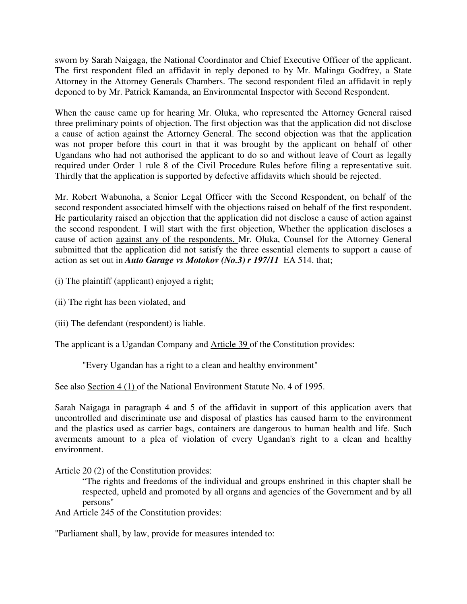sworn by Sarah Naigaga, the National Coordinator and Chief Executive Officer of the applicant. The first respondent filed an affidavit in reply deponed to by Mr. Malinga Godfrey, a State Attorney in the Attorney Generals Chambers. The second respondent filed an affidavit in reply deponed to by Mr. Patrick Kamanda, an Environmental Inspector with Second Respondent.

When the cause came up for hearing Mr. Oluka, who represented the Attorney General raised three preliminary points of objection. The first objection was that the application did not disclose a cause of action against the Attorney General. The second objection was that the application was not proper before this court in that it was brought by the applicant on behalf of other Ugandans who had not authorised the applicant to do so and without leave of Court as legally required under Order 1 rule 8 of the Civil Procedure Rules before filing a representative suit. Thirdly that the application is supported by defective affidavits which should be rejected.

Mr. Robert Wabunoha, a Senior Legal Officer with the Second Respondent, on behalf of the second respondent associated himself with the objections raised on behalf of the first respondent. He particularity raised an objection that the application did not disclose a cause of action against the second respondent. I will start with the first objection, Whether the application discloses a cause of action against any of the respondents. Mr. Oluka, Counsel for the Attorney General submitted that the application did not satisfy the three essential elements to support a cause of action as set out in *Auto Garage vs Motokov (No.3) r 197/11* EA 514. that;

(i) The plaintiff (applicant) enjoyed a right;

(ii) The right has been violated, and

(iii) The defendant (respondent) is liable.

The applicant is a Ugandan Company and Article 39 of the Constitution provides:

"Every Ugandan has a right to a clean and healthy environment"

See also Section 4 (1) of the National Environment Statute No. 4 of 1995.

Sarah Naigaga in paragraph 4 and 5 of the affidavit in support of this application avers that uncontrolled and discriminate use and disposal of plastics has caused harm to the environment and the plastics used as carrier bags, containers are dangerous to human health and life. Such averments amount to a plea of violation of every Ugandan's right to a clean and healthy environment.

Article 20 (2) of the Constitution provides:

"The rights and freedoms of the individual and groups enshrined in this chapter shall be respected, upheld and promoted by all organs and agencies of the Government and by all persons"

And Article 245 of the Constitution provides:

"Parliament shall, by law, provide for measures intended to: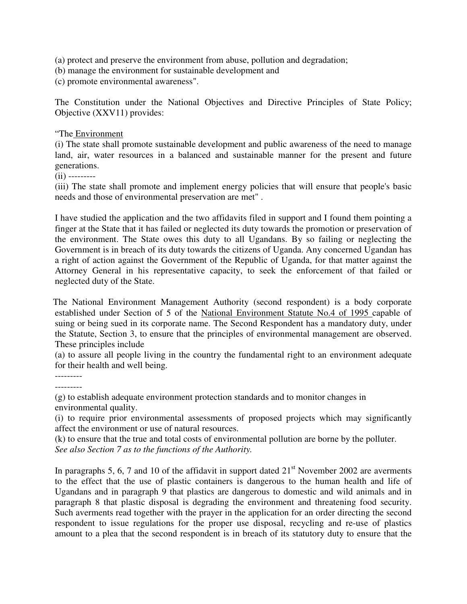(a) protect and preserve the environment from abuse, pollution and degradation;

(b) manage the environment for sustainable development and

(c) promote environmental awareness".

The Constitution under the National Objectives and Directive Principles of State Policy; Objective (XXV11) provides:

# "The Environment

(i) The state shall promote sustainable development and public awareness of the need to manage land, air, water resources in a balanced and sustainable manner for the present and future generations.

(ii) ---------

(iii) The state shall promote and implement energy policies that will ensure that people's basic needs and those of environmental preservation are met" .

I have studied the application and the two affidavits filed in support and I found them pointing a finger at the State that it has failed or neglected its duty towards the promotion or preservation of the environment. The State owes this duty to all Ugandans. By so failing or neglecting the Government is in breach of its duty towards the citizens of Uganda. Any concerned Ugandan has a right of action against the Government of the Republic of Uganda, for that matter against the Attorney General in his representative capacity, to seek the enforcement of that failed or neglected duty of the State.

 The National Environment Management Authority (second respondent) is a body corporate established under Section of 5 of the National Environment Statute No.4 of 1995 capable of suing or being sued in its corporate name. The Second Respondent has a mandatory duty, under the Statute, Section 3, to ensure that the principles of environmental management are observed. These principles include

(a) to assure all people living in the country the fundamental right to an environment adequate for their health and well being.

--------- ---------

(g) to establish adequate environment protection standards and to monitor changes in environmental quality.

(i) to require prior environmental assessments of proposed projects which may significantly affect the environment or use of natural resources.

(k) to ensure that the true and total costs of environmental pollution are borne by the polluter. *See also Section 7 as to the functions of the Authority.* 

In paragraphs 5, 6, 7 and 10 of the affidavit in support dated  $21<sup>st</sup>$  November 2002 are averments to the effect that the use of plastic containers is dangerous to the human health and life of Ugandans and in paragraph 9 that plastics are dangerous to domestic and wild animals and in paragraph 8 that plastic disposal is degrading the environment and threatening food security. Such averments read together with the prayer in the application for an order directing the second respondent to issue regulations for the proper use disposal, recycling and re-use of plastics amount to a plea that the second respondent is in breach of its statutory duty to ensure that the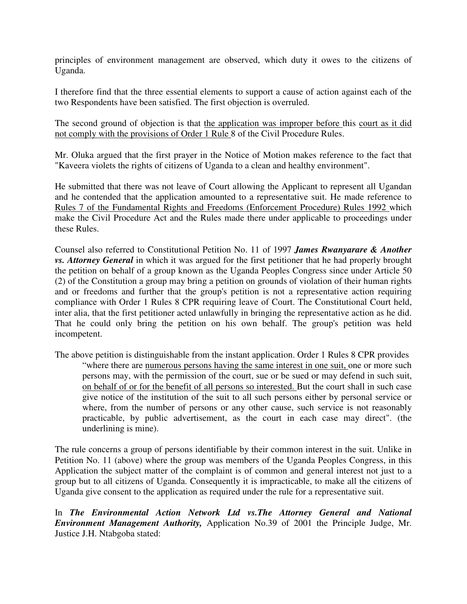principles of environment management are observed, which duty it owes to the citizens of Uganda.

I therefore find that the three essential elements to support a cause of action against each of the two Respondents have been satisfied. The first objection is overruled.

The second ground of objection is that the application was improper before this court as it did not comply with the provisions of Order 1 Rule 8 of the Civil Procedure Rules.

Mr. Oluka argued that the first prayer in the Notice of Motion makes reference to the fact that "Kaveera violets the rights of citizens of Uganda to a clean and healthy environment".

He submitted that there was not leave of Court allowing the Applicant to represent all Ugandan and he contended that the application amounted to a representative suit. He made reference to Rules 7 of the Fundamental Rights and Freedoms (Enforcement Procedure) Rules 1992 which make the Civil Procedure Act and the Rules made there under applicable to proceedings under these Rules.

Counsel also referred to Constitutional Petition No. 11 of 1997 *James Rwanyarare & Another vs. Attorney General* in which it was argued for the first petitioner that he had properly brought the petition on behalf of a group known as the Uganda Peoples Congress since under Article 50 (2) of the Constitution a group may bring a petition on grounds of violation of their human rights and or freedoms and further that the group's petition is not a representative action requiring compliance with Order 1 Rules 8 CPR requiring leave of Court. The Constitutional Court held, inter alia, that the first petitioner acted unlawfully in bringing the representative action as he did. That he could only bring the petition on his own behalf. The group's petition was held incompetent.

The above petition is distinguishable from the instant application. Order 1 Rules 8 CPR provides "where there are numerous persons having the same interest in one suit, one or more such persons may, with the permission of the court, sue or be sued or may defend in such suit, on behalf of or for the benefit of all persons so interested. But the court shall in such case give notice of the institution of the suit to all such persons either by personal service or where, from the number of persons or any other cause, such service is not reasonably practicable, by public advertisement, as the court in each case may direct". (the underlining is mine).

The rule concerns a group of persons identifiable by their common interest in the suit. Unlike in Petition No. 11 (above) where the group was members of the Uganda Peoples Congress, in this Application the subject matter of the complaint is of common and general interest not just to a group but to all citizens of Uganda. Consequently it is impracticable, to make all the citizens of Uganda give consent to the application as required under the rule for a representative suit.

In *The Environmental Action Network Ltd vs.The Attorney General and National Environment Management Authority,* Application No.39 of 2001 the Principle Judge, Mr. Justice J.H. Ntabgoba stated: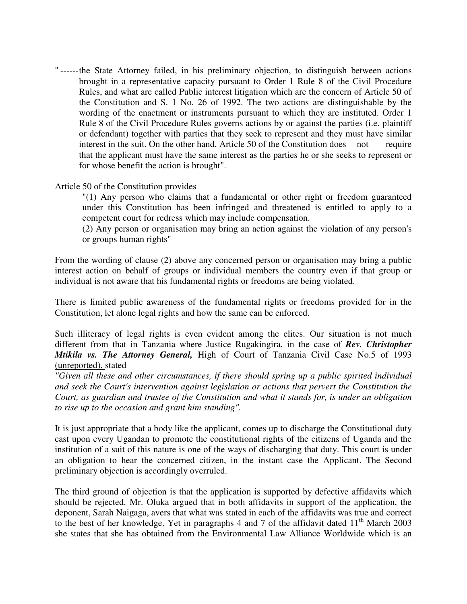" ------ the State Attorney failed, in his preliminary objection, to distinguish between actions brought in a representative capacity pursuant to Order 1 Rule 8 of the Civil Procedure Rules, and what are called Public interest litigation which are the concern of Article 50 of the Constitution and S. 1 No. 26 of 1992. The two actions are distinguishable by the wording of the enactment or instruments pursuant to which they are instituted. Order 1 Rule 8 of the Civil Procedure Rules governs actions by or against the parties (i.e. plaintiff or defendant) together with parties that they seek to represent and they must have similar interest in the suit. On the other hand, Article 50 of the Constitution does not require that the applicant must have the same interest as the parties he or she seeks to represent or for whose benefit the action is brought".

### Article 50 of the Constitution provides

"(1) Any person who claims that a fundamental or other right or freedom guaranteed under this Constitution has been infringed and threatened is entitled to apply to a competent court for redress which may include compensation.

(2) Any person or organisation may bring an action against the violation of any person's or groups human rights"

From the wording of clause (2) above any concerned person or organisation may bring a public interest action on behalf of groups or individual members the country even if that group or individual is not aware that his fundamental rights or freedoms are being violated.

There is limited public awareness of the fundamental rights or freedoms provided for in the Constitution, let alone legal rights and how the same can be enforced.

Such illiteracy of legal rights is even evident among the elites. Our situation is not much different from that in Tanzania where Justice Rugakingira, in the case of *Rev. Christopher Mtikila vs. The Attorney General,* High of Court of Tanzania Civil Case No.5 of 1993 (unreported), stated

*"Given all these and other circumstances, if there should spring up a public spirited individual and seek the Court's intervention against legislation or actions that pervert the Constitution the Court, as guardian and trustee of the Constitution and what it stands for, is under an obligation to rise up to the occasion and grant him standing".*

It is just appropriate that a body like the applicant, comes up to discharge the Constitutional duty cast upon every Ugandan to promote the constitutional rights of the citizens of Uganda and the institution of a suit of this nature is one of the ways of discharging that duty. This court is under an obligation to hear the concerned citizen, in the instant case the Applicant. The Second preliminary objection is accordingly overruled.

The third ground of objection is that the application is supported by defective affidavits which should be rejected. Mr. Oluka argued that in both affidavits in support of the application, the deponent, Sarah Naigaga, avers that what was stated in each of the affidavits was true and correct to the best of her knowledge. Yet in paragraphs 4 and 7 of the affidavit dated  $11<sup>th</sup>$  March 2003 she states that she has obtained from the Environmental Law Alliance Worldwide which is an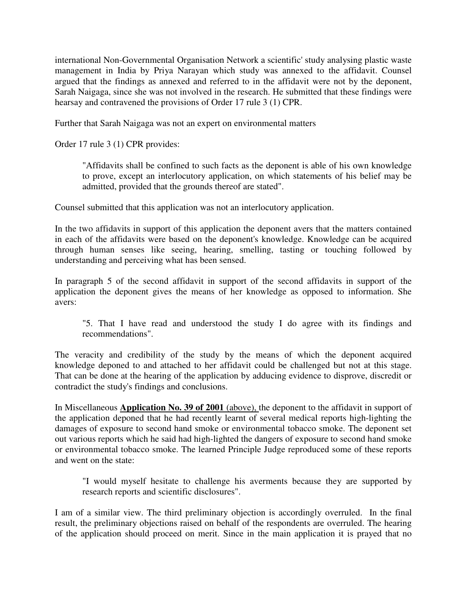international Non-Governmental Organisation Network a scientific' study analysing plastic waste management in India by Priya Narayan which study was annexed to the affidavit. Counsel argued that the findings as annexed and referred to in the affidavit were not by the deponent, Sarah Naigaga, since she was not involved in the research. He submitted that these findings were hearsay and contravened the provisions of Order 17 rule 3 (1) CPR.

Further that Sarah Naigaga was not an expert on environmental matters

Order 17 rule 3 (1) CPR provides:

"Affidavits shall be confined to such facts as the deponent is able of his own knowledge to prove, except an interlocutory application, on which statements of his belief may be admitted, provided that the grounds thereof are stated".

Counsel submitted that this application was not an interlocutory application.

In the two affidavits in support of this application the deponent avers that the matters contained in each of the affidavits were based on the deponent's knowledge. Knowledge can be acquired through human senses like seeing, hearing, smelling, tasting or touching followed by understanding and perceiving what has been sensed.

In paragraph 5 of the second affidavit in support of the second affidavits in support of the application the deponent gives the means of her knowledge as opposed to information. She avers:

"5. That I have read and understood the study I do agree with its findings and recommendations".

The veracity and credibility of the study by the means of which the deponent acquired knowledge deponed to and attached to her affidavit could be challenged but not at this stage. That can be done at the hearing of the application by adducing evidence to disprove, discredit or contradict the study's findings and conclusions.

In Miscellaneous **Application No. 39 of 2001** (above), the deponent to the affidavit in support of the application deponed that he had recently learnt of several medical reports high-lighting the damages of exposure to second hand smoke or environmental tobacco smoke. The deponent set out various reports which he said had high-lighted the dangers of exposure to second hand smoke or environmental tobacco smoke. The learned Principle Judge reproduced some of these reports and went on the state:

"I would myself hesitate to challenge his averments because they are supported by research reports and scientific disclosures".

I am of a similar view. The third preliminary objection is accordingly overruled. In the final result, the preliminary objections raised on behalf of the respondents are overruled. The hearing of the application should proceed on merit. Since in the main application it is prayed that no